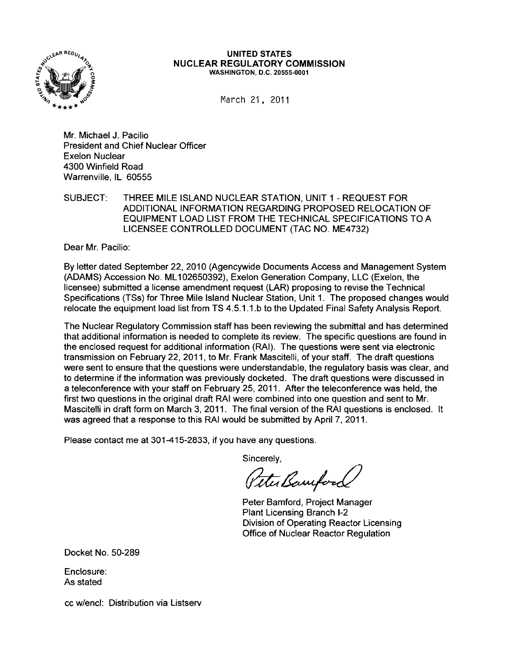

#### UNITED STATES NUCLEAR REGULATORY COMMISSION WASHINGTON, D.C. 20555-0001

March 21, 2011

Mr. Michael J. Pacilio President and Chief Nuclear Officer Exelon Nuclear 4300 Winfield Road Warrenville, IL 60555

SUBJECT: THREE MILE ISLAND NUCLEAR STATION, UNIT 1 - REQUEST FOR ADDITIONAL INFORMATION REGARDING PROPOSED RELOCATION OF EQUIPMENT LOAD LIST FROM THE TECHNICAL SPECIFICATIONS TO A LICENSEE CONTROLLED DOCUMENT (TAC NO. ME4732)

Dear Mr. Pacilio:

By letter dated September 22, 2010 (Agencywide Documents Access and Management System (ADAMS) Accession No. ML 102650392), Exelon Generation Company, LLC (Exelon, the licensee) submitted a license amendment request (LAR) proposing to revise the Technical Specifications (TSs) for Three Mile Island Nuclear Station, Unit 1. The proposed changes would relocate the equipment load list from TS 4.5.1.1.b to the Updated Final Safety Analysis Report.

The Nuclear Regulatory Commission staff has been reviewing the submittal and has determined that additional information is needed to complete its review. The specific questions are found in the enclosed request for additional information (RAI). The questions were sent via electronic transmission on February 22,2011, to Mr. Frank Mascitelli, of your staff. The draft questions were sent to ensure that the questions were understandable, the regulatory basis was clear, and to determine if the information was previously docketed. The draft questions were discussed in a teleconference with your staff on February 25, 2011. After the teleconference was held, the first two questions in the original draft RAI were combined into one question and sent to Mr. Mascitelli in draft form on March 3, 2011. The final version of the RAI questions is enclosed. It was agreed that a response to this RAI would be submitted by April 7, 2011.

Please contact me at 301-415-2833, if you have any questions.

Sincerely,

Peter Bamford

Peter Bamford, Project Manager Plant Licensing Branch 1-2 Division of Operating Reactor Licensing Office of Nuclear Reactor Regulation

Docket No. 50-289

Enclosure: As stated

cc w/encl: Distribution via Listserv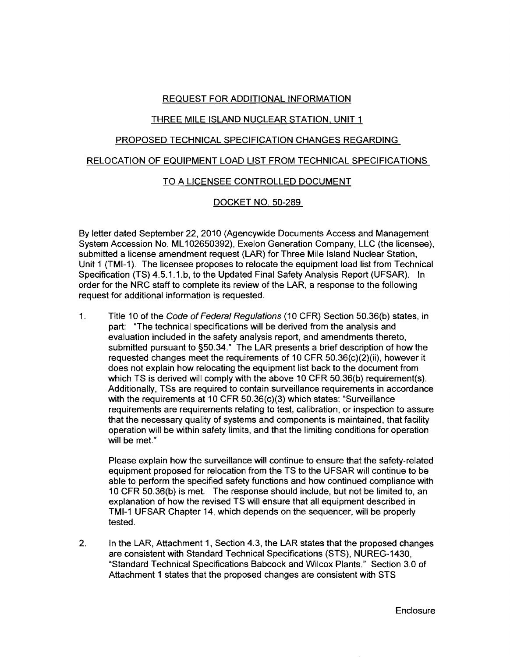## REQUEST FOR ADDITIONAL INFORMATION

# THREE MILE ISLAND NUCLEAR STATION, UNIT 1

#### PROPOSED TECHNICAL SPECIFICATION CHANGES REGARDING

#### RELOCATION OF EQUIPMENT LOAD LIST FROM TECHNICAL SPECIFICATIONS

## TO A LICENSEE CONTROLLED DOCUMENT

## DOCKET NO. SO-289

By letter dated September 22, 2010 (Agencywide Documents Access and Management System Accession No. ML102650392), Exelon Generation Company, LLC (the licensee), submitted a license amendment request (LAR) for Three Mile Island Nuclear Station, Unit 1 (TMI-1). The licensee proposes to relocate the equipment load list from Technical Specification (TS) 4.S.1.1.b, to the Updated Final Safety Analysis Report (UFSAR). In order for the NRC staff to complete its review of the LAR, a response to the following request for additional information is requested.

1. Title 10 of the Code of Federal Regulations (10 CFR) Section 50.36(b) states, in part: "The technical specifications will be derived from the analysis and evaluation included in the safety analysis report, and amendments thereto, submitted pursuant to §SO.34." The LAR presents a brief description of how the requested changes meet the requirements of 10 CFR SO.36(c)(2)(ii), however it does not explain how relocating the equipment list back to the document from which TS is derived will comply with the above 10 CFR 50.36(b) requirement(s). Additionally, TSs are required to contain surveillance requirements in accordance with the requirements at 10 CFR SO.36(c)(3) which states: "Surveillance requirements are requirements relating to test, calibration, or inspection to assure that the necessary quality of systems and components is maintained, that facility operation will be within safety limits, and that the limiting conditions for operation will be met."

Please explain how the surveillance will continue to ensure that the safety-related equipment proposed for relocation from the TS to the UFSAR will continue to be able to perform the specified safety functions and how continued compliance with 10 CFR SO.36(b) is met. The response should include, but not be limited to, an explanation of how the revised TS will ensure that all equipment described in TMI-1 UFSAR Chapter 14, which depends on the sequencer, will be properly tested.

2. In the LAR, Attachment 1, Section 4.3, the LAR states that the proposed changes are consistent with Standard Technical Specifications (STS), NUREG-1430, "Standard Technical Specifications Babcock and Wilcox Plants." Section 3.0 of Attachment 1 states that the proposed changes are consistent with STS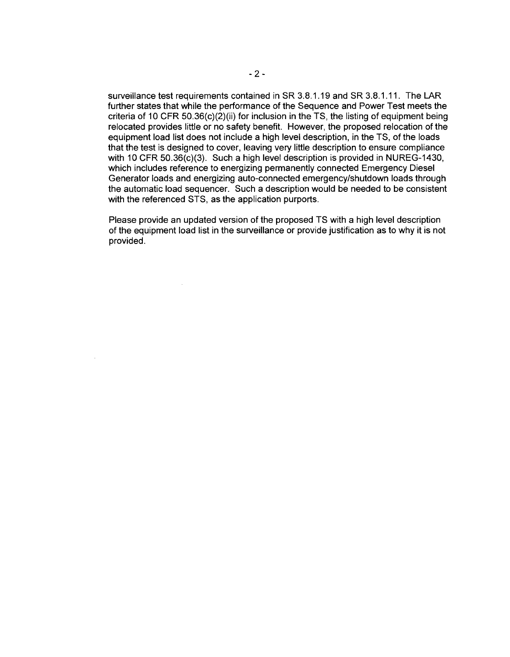surveillance test requirements contained in SR 3.8.1.19 and SR 3.8.1.11. The LAR further states that while the performance of the Sequence and Power Test meets the criteria of 10 CFR 50.36( $c$ )( $2$ )(ii) for inclusion in the TS, the listing of equipment being relocated provides little or no safety benefit. However, the proposed relocation of the equipment load list does not include a high level description, in the TS, of the loads that the test is designed to cover, leaving very little description to ensure compliance with 10 CFR 50.36(c)(3). Such a high level description is provided in NUREG-1430, which includes reference to energizing permanently connected Emergency Diesel Generator loads and energizing auto-connected emergency/shutdown loads through the automatic load sequencer. Such a description would be needed to be consistent with the referenced STS, as the application purports.

Please provide an updated version of the proposed TS with a high level description of the equipment load list in the surveillance or provide justification as to why it is not provided.

 $\mathcal{L}$ 

 $\lambda$